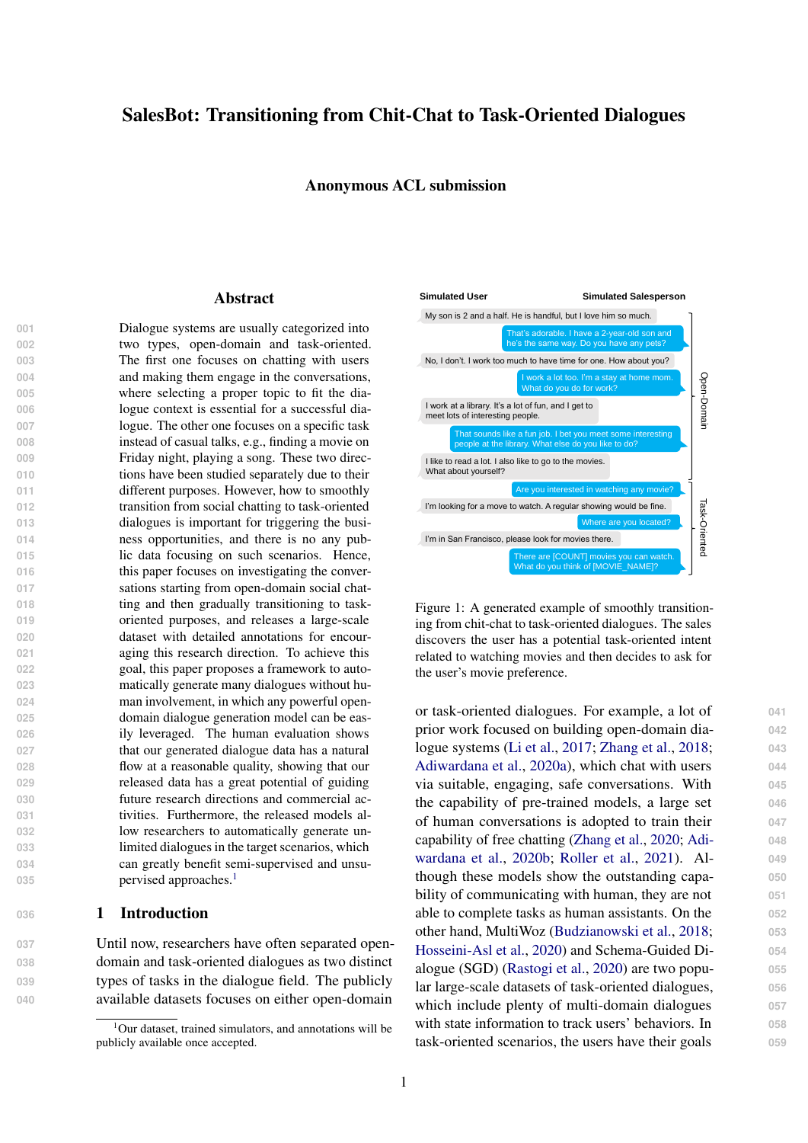# SalesBot: Transitioning from Chit-Chat to Task-Oriented Dialogues

Anonymous ACL submission

#### Abstract

 Dialogue systems are usually categorized into two types, open-domain and task-oriented. The first one focuses on chatting with users and making them engage in the conversations, where selecting a proper topic to fit the dia- logue context is essential for a successful dia- logue. The other one focuses on a specific task instead of casual talks, e.g., finding a movie on Friday night, playing a song. These two direc- tions have been studied separately due to their different purposes. However, how to smoothly transition from social chatting to task-oriented dialogues is important for triggering the busi- ness opportunities, and there is no any pub- lic data focusing on such scenarios. Hence, 016 this paper focuses on investigating the conver-017 sations starting from open-domain social chat-018 ting and then gradually transitioning to task- oriented purposes, and releases a large-scale dataset with detailed annotations for encour- aging this research direction. To achieve this goal, this paper proposes a framework to auto- matically generate many dialogues without hu- man involvement, in which any powerful open- domain dialogue generation model can be eas- ily leveraged. The human evaluation shows that our generated dialogue data has a natural flow at a reasonable quality, showing that our released data has a great potential of guiding future research directions and commercial ac- tivities. Furthermore, the released models al- low researchers to automatically generate un- limited dialogues in the target scenarios, which can greatly benefit semi-supervised and unsu-pervised approaches.<sup>[1](#page-0-0)</sup> **035**

## **036** 1 Introduction

 Until now, researchers have often separated open- domain and task-oriented dialogues as two distinct types of tasks in the dialogue field. The publicly available datasets focuses on either open-domain

<span id="page-0-1"></span>

Figure 1: A generated example of smoothly transitioning from chit-chat to task-oriented dialogues. The sales discovers the user has a potential task-oriented intent related to watching movies and then decides to ask for the user's movie preference.

or task-oriented dialogues. For example, a lot of **041** prior work focused on building open-domain dia- **042** logue systems [\(Li et al.,](#page-8-0) [2017;](#page-8-0) [Zhang et al.,](#page-9-0) [2018;](#page-9-0) **043** [Adiwardana et al.,](#page-8-1) [2020a\)](#page-8-1), which chat with users **044** via suitable, engaging, safe conversations. With **045** the capability of pre-trained models, a large set **046** of human conversations is adopted to train their **047** [c](#page-8-2)apability of free chatting [\(Zhang et al.,](#page-9-1) [2020;](#page-9-1) [Adi-](#page-8-2) **048** [wardana et al.,](#page-8-2) [2020b;](#page-8-2) [Roller et al.,](#page-8-3) [2021\)](#page-8-3). Al- **049** though these models show the outstanding capa- **050** bility of communicating with human, they are not **051** able to complete tasks as human assistants. On the **052** other hand, MultiWoz [\(Budzianowski et al.,](#page-8-4) [2018;](#page-8-4) **053** [Hosseini-Asl et al.,](#page-8-5) [2020\)](#page-8-5) and Schema-Guided Di- **054** alogue (SGD) [\(Rastogi et al.,](#page-8-6) [2020\)](#page-8-6) are two popu- **055** lar large-scale datasets of task-oriented dialogues, **056** which include plenty of multi-domain dialogues  $057$ with state information to track users' behaviors. In 058 task-oriented scenarios, the users have their goals **059**

<span id="page-0-0"></span> $1$ Our dataset, trained simulators, and annotations will be publicly available once accepted.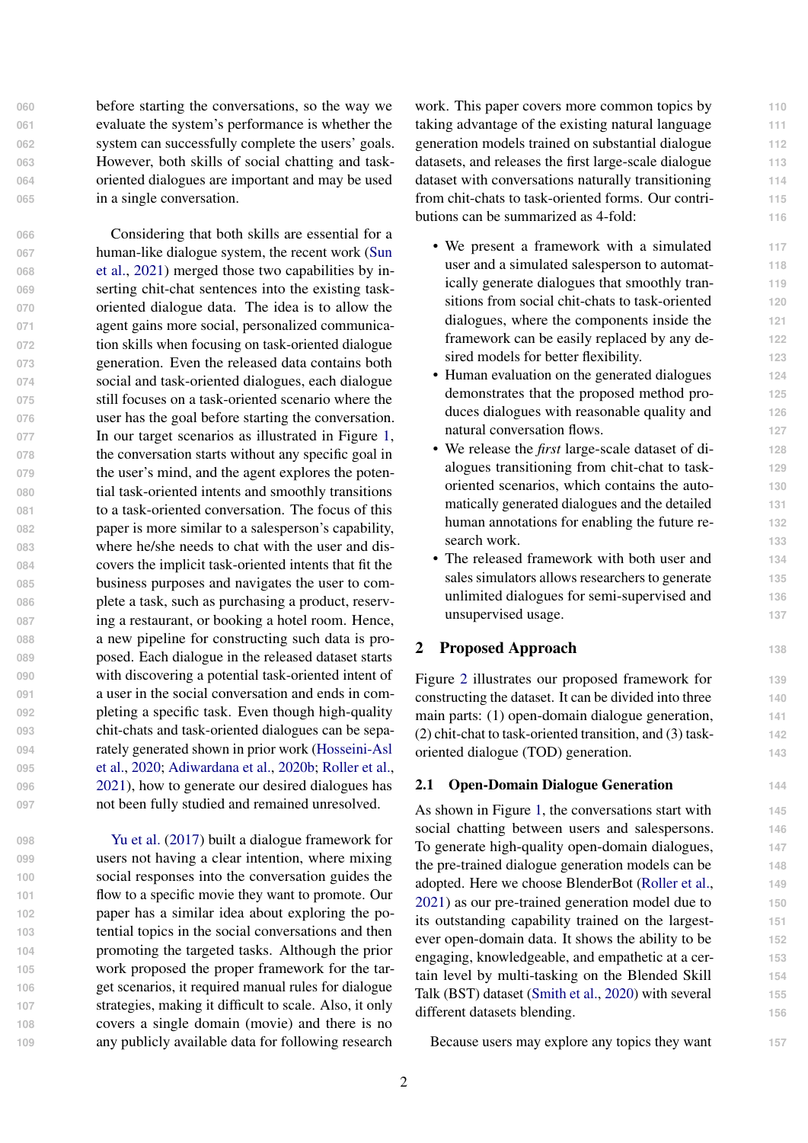before starting the conversations, so the way we evaluate the system's performance is whether the system can successfully complete the users' goals. However, both skills of social chatting and task- oriented dialogues are important and may be used in a single conversation.

 Considering that both skills are essential for a [h](#page-9-2)uman-like dialogue system, the recent work [\(Sun](#page-9-2) [et al.,](#page-9-2) [2021\)](#page-9-2) merged those two capabilities by in- serting chit-chat sentences into the existing task- oriented dialogue data. The idea is to allow the agent gains more social, personalized communica- tion skills when focusing on task-oriented dialogue generation. Even the released data contains both social and task-oriented dialogues, each dialogue still focuses on a task-oriented scenario where the user has the goal before starting the conversation. In our target scenarios as illustrated in Figure [1,](#page-0-1) the conversation starts without any specific goal in the user's mind, and the agent explores the poten- tial task-oriented intents and smoothly transitions to a task-oriented conversation. The focus of this paper is more similar to a salesperson's capability, where he/she needs to chat with the user and dis- covers the implicit task-oriented intents that fit the business purposes and navigates the user to com- plete a task, such as purchasing a product, reserv- ing a restaurant, or booking a hotel room. Hence, a new pipeline for constructing such data is pro- posed. Each dialogue in the released dataset starts with discovering a potential task-oriented intent of a user in the social conversation and ends in com- pleting a specific task. Even though high-quality chit-chats and task-oriented dialogues can be sepa- [r](#page-8-5)ately generated shown in prior work [\(Hosseini-Asl](#page-8-5) [et al.,](#page-8-5) [2020;](#page-8-5) [Adiwardana et al.,](#page-8-2) [2020b;](#page-8-2) [Roller et al.,](#page-8-3) [2021\)](#page-8-3), how to generate our desired dialogues has not been fully studied and remained unresolved.

 [Yu et al.](#page-9-3) [\(2017\)](#page-9-3) built a dialogue framework for users not having a clear intention, where mixing social responses into the conversation guides the flow to a specific movie they want to promote. Our paper has a similar idea about exploring the po- tential topics in the social conversations and then promoting the targeted tasks. Although the prior work proposed the proper framework for the tar- get scenarios, it required manual rules for dialogue strategies, making it difficult to scale. Also, it only covers a single domain (movie) and there is no any publicly available data for following research

work. This paper covers more common topics by 110 taking advantage of the existing natural language **111** generation models trained on substantial dialogue **112** datasets, and releases the first large-scale dialogue **113** dataset with conversations naturally transitioning **114** from chit-chats to task-oriented forms. Our contri- **115** butions can be summarized as 4-fold: **116**

- We present a framework with a simulated **117** user and a simulated salesperson to automat- **118** ically generate dialogues that smoothly tran- **119** sitions from social chit-chats to task-oriented **120** dialogues, where the components inside the **121** framework can be easily replaced by any de- **122** sired models for better flexibility. **123**
- Human evaluation on the generated dialogues **124** demonstrates that the proposed method pro- **125** duces dialogues with reasonable quality and **126** natural conversation flows. **127**
- We release the *first* large-scale dataset of di- **128** alogues transitioning from chit-chat to task- **129** oriented scenarios, which contains the auto- **130** matically generated dialogues and the detailed **131** human annotations for enabling the future re- **132** search work. **133**
- The released framework with both user and **134** sales simulators allows researchers to generate **135** unlimited dialogues for semi-supervised and **136** unsupervised usage. **137**

## 2 Proposed Approach **<sup>138</sup>**

Figure [2](#page-2-0) illustrates our proposed framework for **139** constructing the dataset. It can be divided into three **140** main parts: (1) open-domain dialogue generation, **141** (2) chit-chat to task-oriented transition, and (3) task- **142** oriented dialogue (TOD) generation. **143**

## 2.1 Open-Domain Dialogue Generation **144**

As shown in Figure [1,](#page-0-1) the conversations start with **145** social chatting between users and salespersons. **146** To generate high-quality open-domain dialogues, **147** the pre-trained dialogue generation models can be **148** adopted. Here we choose BlenderBot [\(Roller et al.,](#page-8-3) **149** [2021\)](#page-8-3) as our pre-trained generation model due to **150** its outstanding capability trained on the largest- **151** ever open-domain data. It shows the ability to be **152** engaging, knowledgeable, and empathetic at a cer- **153** tain level by multi-tasking on the Blended Skill **154** Talk (BST) dataset [\(Smith et al.,](#page-8-7) [2020\)](#page-8-7) with several **155** different datasets blending. **156**

Because users may explore any topics they want **157**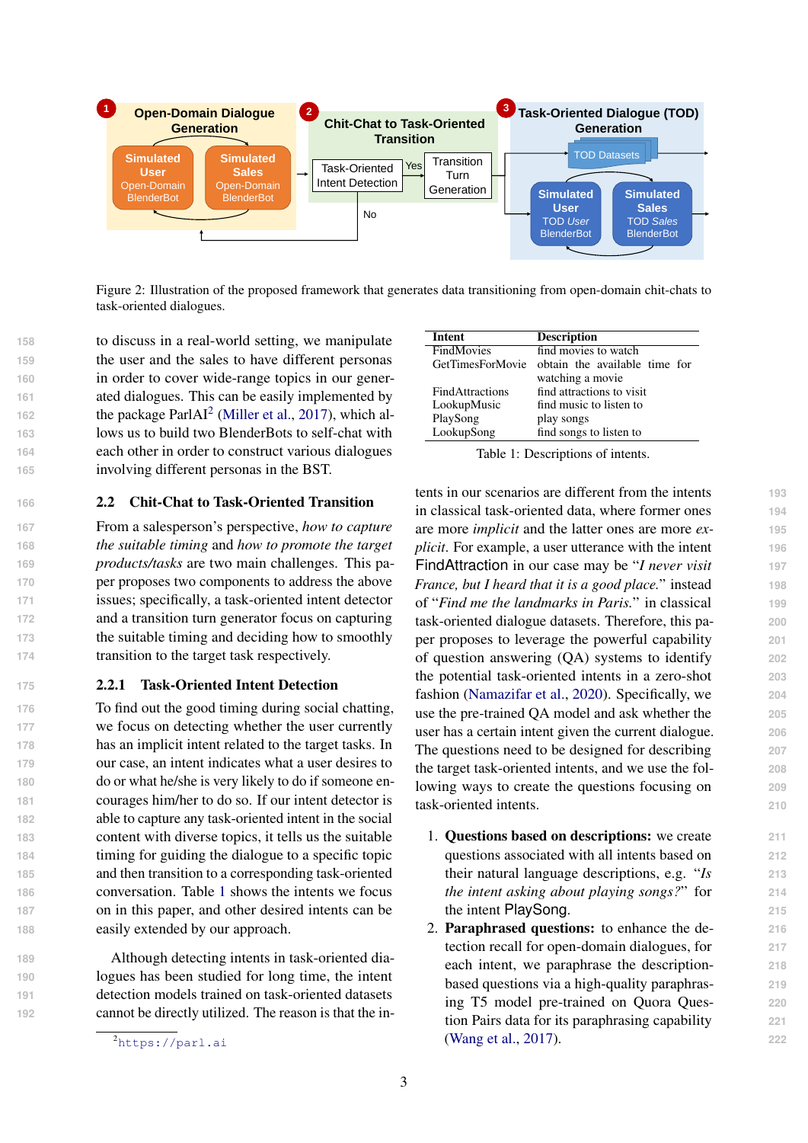<span id="page-2-0"></span>

Figure 2: Illustration of the proposed framework that generates data transitioning from open-domain chit-chats to task-oriented dialogues.

 to discuss in a real-world setting, we manipulate the user and the sales to have different personas in order to cover wide-range topics in our gener- ated dialogues. This can be easily implemented by [2](#page-2-1) the package ParlAI<sup>2</sup> [\(Miller et al.,](#page-8-8) [2017\)](#page-8-8), which al- lows us to build two BlenderBots to self-chat with each other in order to construct various dialogues involving different personas in the BST.

## **166** 2.2 Chit-Chat to Task-Oriented Transition

 From a salesperson's perspective, *how to capture the suitable timing* and *how to promote the target products/tasks* are two main challenges. This pa- per proposes two components to address the above issues; specifically, a task-oriented intent detector and a transition turn generator focus on capturing the suitable timing and deciding how to smoothly transition to the target task respectively.

#### **175** 2.2.1 Task-Oriented Intent Detection

 To find out the good timing during social chatting, we focus on detecting whether the user currently has an implicit intent related to the target tasks. In our case, an intent indicates what a user desires to do or what he/she is very likely to do if someone en- courages him/her to do so. If our intent detector is able to capture any task-oriented intent in the social content with diverse topics, it tells us the suitable timing for guiding the dialogue to a specific topic and then transition to a corresponding task-oriented conversation. Table [1](#page-2-2) shows the intents we focus on in this paper, and other desired intents can be easily extended by our approach.

 Although detecting intents in task-oriented dia- logues has been studied for long time, the intent detection models trained on task-oriented datasets cannot be directly utilized. The reason is that the in-

<span id="page-2-2"></span>

| <b>Intent</b>          | <b>Description</b>            |
|------------------------|-------------------------------|
| FindMovies             | find movies to watch          |
| GetTimesForMovie       | obtain the available time for |
|                        | watching a movie              |
| <b>FindAttractions</b> | find attractions to visit     |
| LookupMusic            | find music to listen to       |
| PlaySong               | play songs                    |
| LookupSong             | find songs to listen to       |
|                        |                               |

Table 1: Descriptions of intents.

tents in our scenarios are different from the intents **193** in classical task-oriented data, where former ones **194** are more *implicit* and the latter ones are more *ex-* **195** *plicit*. For example, a user utterance with the intent **196** FindAttraction in our case may be "*I never visit* **197** *France, but I heard that it is a good place.*" instead **198** of "*Find me the landmarks in Paris.*" in classical **199** task-oriented dialogue datasets. Therefore, this pa- **200** per proposes to leverage the powerful capability **201** of question answering (QA) systems to identify **202** the potential task-oriented intents in a zero-shot **203** fashion [\(Namazifar et al.,](#page-8-9) [2020\)](#page-8-9). Specifically, we **204** use the pre-trained QA model and ask whether the **205** user has a certain intent given the current dialogue. **206** The questions need to be designed for describing **207** the target task-oriented intents, and we use the fol- **208** lowing ways to create the questions focusing on **209** task-oriented intents. **210**

- 1. Questions based on descriptions: we create **211** questions associated with all intents based on **212** their natural language descriptions, e.g. "*Is* **213** *the intent asking about playing songs?*" for **214** the intent PlaySong. **215**
- 2. Paraphrased questions: to enhance the de- **216** tection recall for open-domain dialogues, for **217** each intent, we paraphrase the description- **218** based questions via a high-quality paraphras- **219** ing T5 model pre-trained on Quora Ques- **220** tion Pairs data for its paraphrasing capability **221** [\(Wang et al.,](#page-9-4) [2017\)](#page-9-4). **222**

<span id="page-2-1"></span><sup>2</sup><https://parl.ai>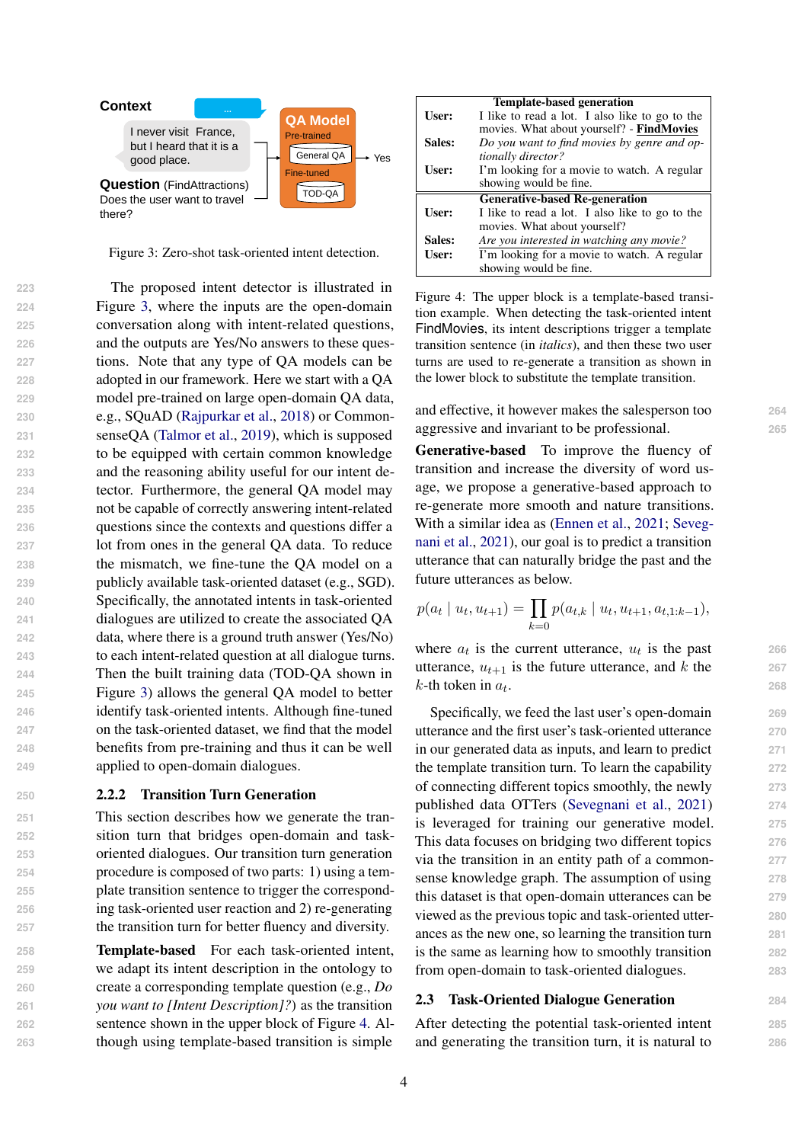<span id="page-3-0"></span>

Figure 3: Zero-shot task-oriented intent detection.

 The proposed intent detector is illustrated in Figure [3,](#page-3-0) where the inputs are the open-domain conversation along with intent-related questions, and the outputs are Yes/No answers to these ques- tions. Note that any type of QA models can be adopted in our framework. Here we start with a QA model pre-trained on large open-domain QA data, e.g., SQuAD [\(Rajpurkar et al.,](#page-8-10) [2018\)](#page-8-10) or Common- senseQA [\(Talmor et al.,](#page-9-5) [2019\)](#page-9-5), which is supposed to be equipped with certain common knowledge and the reasoning ability useful for our intent de- tector. Furthermore, the general QA model may not be capable of correctly answering intent-related questions since the contexts and questions differ a lot from ones in the general QA data. To reduce the mismatch, we fine-tune the QA model on a publicly available task-oriented dataset (e.g., SGD). Specifically, the annotated intents in task-oriented dialogues are utilized to create the associated QA data, where there is a ground truth answer (Yes/No) to each intent-related question at all dialogue turns. Then the built training data (TOD-QA shown in Figure [3\)](#page-3-0) allows the general QA model to better identify task-oriented intents. Although fine-tuned on the task-oriented dataset, we find that the model benefits from pre-training and thus it can be well applied to open-domain dialogues.

## **250** 2.2.2 Transition Turn Generation

 This section describes how we generate the tran- sition turn that bridges open-domain and task- oriented dialogues. Our transition turn generation procedure is composed of two parts: 1) using a tem- plate transition sentence to trigger the correspond- ing task-oriented user reaction and 2) re-generating the transition turn for better fluency and diversity.

 Template-based For each task-oriented intent, we adapt its intent description in the ontology to create a corresponding template question (e.g., *Do you want to [Intent Description]?*) as the transition sentence shown in the upper block of Figure [4.](#page-3-1) Al-though using template-based transition is simple

<span id="page-3-1"></span>

|        | <b>Template-based generation</b>               |  |  |
|--------|------------------------------------------------|--|--|
| User:  | I like to read a lot. I also like to go to the |  |  |
|        | movies. What about yourself? - FindMovies      |  |  |
| Sales: | Do you want to find movies by genre and op-    |  |  |
|        | tionally director?                             |  |  |
| User:  | I'm looking for a movie to watch. A regular    |  |  |
|        | showing would be fine.                         |  |  |
|        |                                                |  |  |
|        | <b>Generative-based Re-generation</b>          |  |  |
| User:  | I like to read a lot. I also like to go to the |  |  |
|        | movies. What about yourself?                   |  |  |
| Sales: | Are you interested in watching any movie?      |  |  |
| User:  | I'm looking for a movie to watch. A regular    |  |  |

Figure 4: The upper block is a template-based transition example. When detecting the task-oriented intent FindMovies, its intent descriptions trigger a template transition sentence (in *italics*), and then these two user turns are used to re-generate a transition as shown in the lower block to substitute the template transition.

and effective, it however makes the salesperson too **264** aggressive and invariant to be professional. **265**

Generative-based To improve the fluency of transition and increase the diversity of word usage, we propose a generative-based approach to re-generate more smooth and nature transitions. With a similar idea as [\(Ennen et al.,](#page-8-11) [2021;](#page-8-11) [Seveg](#page-8-12)[nani et al.,](#page-8-12) [2021\)](#page-8-12), our goal is to predict a transition utterance that can naturally bridge the past and the future utterances as below.

$$
p(a_t | u_t, u_{t+1}) = \prod_{k=0} p(a_{t,k} | u_t, u_{t+1}, a_{t,1:k-1}),
$$

where  $a_t$  is the current utterance,  $u_t$  is the past 266 utterance,  $u_{t+1}$  is the future utterance, and k the **267**  $k$ -th token in  $a_t$ . . **268** 

Specifically, we feed the last user's open-domain **269** utterance and the first user's task-oriented utterance **270** in our generated data as inputs, and learn to predict **271** the template transition turn. To learn the capability **272** of connecting different topics smoothly, the newly **273** published data OTTers [\(Sevegnani et al.,](#page-8-12) [2021\)](#page-8-12) **274** is leveraged for training our generative model. **275** This data focuses on bridging two different topics **276** via the transition in an entity path of a common- **277** sense knowledge graph. The assumption of using **278** this dataset is that open-domain utterances can be **279** viewed as the previous topic and task-oriented utter- **280** ances as the new one, so learning the transition turn **281** is the same as learning how to smoothly transition **282** from open-domain to task-oriented dialogues. **283**

#### <span id="page-3-2"></span>2.3 Task-Oriented Dialogue Generation **284**

After detecting the potential task-oriented intent **285** and generating the transition turn, it is natural to **286**

4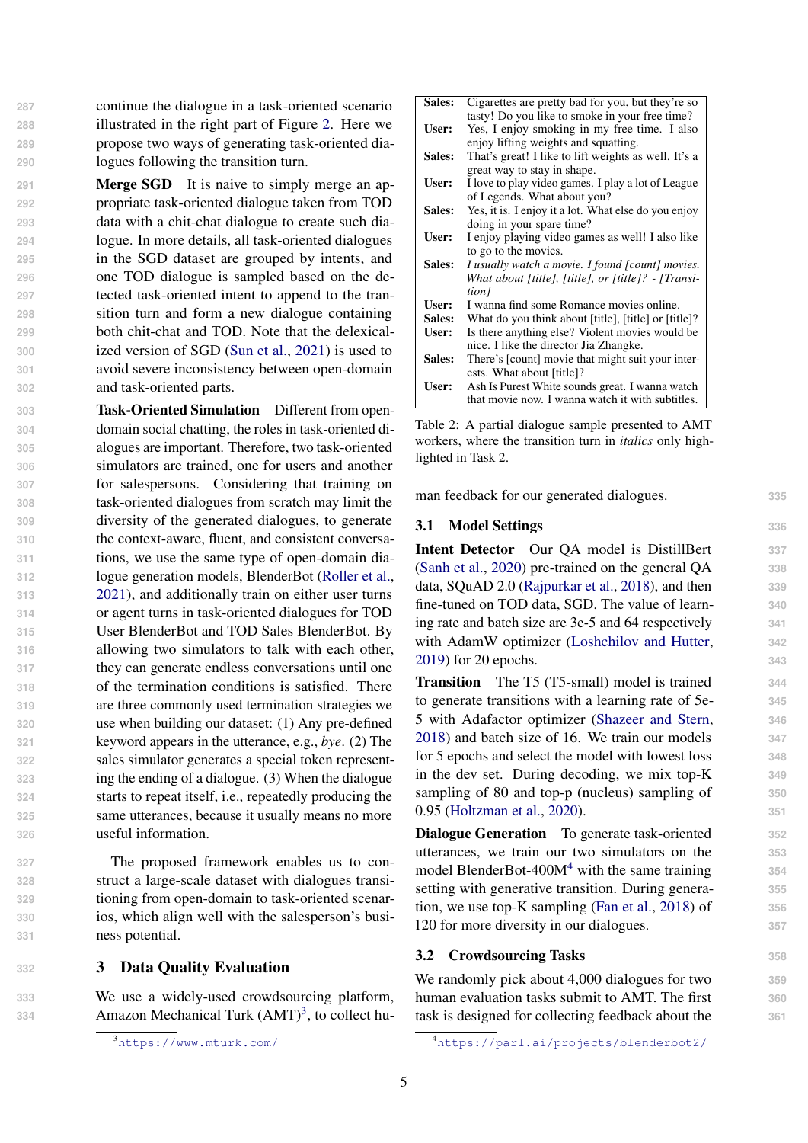continue the dialogue in a task-oriented scenario illustrated in the right part of Figure [2.](#page-2-0) Here we propose two ways of generating task-oriented dia-logues following the transition turn.

 Merge SGD It is naive to simply merge an ap- propriate task-oriented dialogue taken from TOD data with a chit-chat dialogue to create such dia- logue. In more details, all task-oriented dialogues in the SGD dataset are grouped by intents, and one TOD dialogue is sampled based on the de- tected task-oriented intent to append to the tran- sition turn and form a new dialogue containing both chit-chat and TOD. Note that the delexical- ized version of SGD [\(Sun et al.,](#page-9-2) [2021\)](#page-9-2) is used to avoid severe inconsistency between open-domain and task-oriented parts.

 Task-Oriented Simulation Different from open- domain social chatting, the roles in task-oriented di- alogues are important. Therefore, two task-oriented simulators are trained, one for users and another for salespersons. Considering that training on task-oriented dialogues from scratch may limit the diversity of the generated dialogues, to generate the context-aware, fluent, and consistent conversa- tions, we use the same type of open-domain dia- logue generation models, BlenderBot [\(Roller et al.,](#page-8-3) [2021\)](#page-8-3), and additionally train on either user turns or agent turns in task-oriented dialogues for TOD User BlenderBot and TOD Sales BlenderBot. By allowing two simulators to talk with each other, they can generate endless conversations until one of the termination conditions is satisfied. There are three commonly used termination strategies we use when building our dataset: (1) Any pre-defined keyword appears in the utterance, e.g., *bye*. (2) The sales simulator generates a special token represent- ing the ending of a dialogue. (3) When the dialogue starts to repeat itself, i.e., repeatedly producing the same utterances, because it usually means no more useful information.

 The proposed framework enables us to con- struct a large-scale dataset with dialogues transi- tioning from open-domain to task-oriented scenar- ios, which align well with the salesperson's busi-ness potential.

## **<sup>332</sup>** 3 Data Quality Evaluation

**333** We use a widely-used crowdsourcing platform,  $334$  $334$  Amazon Mechanical Turk  $(AMT)^3$ , to collect hu-

<span id="page-4-2"></span>

| Cigarettes are pretty bad for you, but they're so    |
|------------------------------------------------------|
| tasty! Do you like to smoke in your free time?       |
| Yes, I enjoy smoking in my free time. I also         |
| enjoy lifting weights and squatting.                 |
| That's great! I like to lift weights as well. It's a |
| great way to stay in shape.                          |
| I love to play video games. I play a lot of League   |
| of Legends. What about you?                          |
| Yes, it is. I enjoy it a lot. What else do you enjoy |
| doing in your spare time?                            |
| I enjoy playing video games as well! I also like     |
| to go to the movies.                                 |
| I usually watch a movie. I found [count] movies.     |
| What about [title], [title], or [title]? - [Transi-  |
| tion]                                                |
| I wanna find some Romance movies online.             |
| What do you think about [title], [title] or [title]? |
| Is there anything else? Violent movies would be      |
| nice. I like the director Jia Zhangke.               |
| There's [count] movie that might suit your inter-    |
| ests. What about [title]?                            |
| Ash Is Purest White sounds great. I wanna watch      |
| that movie now. I wanna watch it with subtitles.     |
|                                                      |

Table 2: A partial dialogue sample presented to AMT workers, where the transition turn in *italics* only highlighted in Task 2.

man feedback for our generated dialogues. **335**

#### 3.1 Model Settings **336**

Intent Detector Our QA model is DistillBert **337** [\(Sanh et al.,](#page-8-13) [2020\)](#page-8-13) pre-trained on the general QA **338** data, SQuAD 2.0 [\(Rajpurkar et al.,](#page-8-10) [2018\)](#page-8-10), and then **339** fine-tuned on TOD data, SGD. The value of learn- **340** ing rate and batch size are 3e-5 and 64 respectively **341** with AdamW optimizer [\(Loshchilov and Hutter,](#page-8-14) 342 [2019\)](#page-8-14) for 20 epochs. **343**

Transition The T5 (T5-small) model is trained **344** to generate transitions with a learning rate of 5e- **345** 5 with Adafactor optimizer [\(Shazeer and Stern,](#page-8-15) **346** [2018\)](#page-8-15) and batch size of 16. We train our models **347** for 5 epochs and select the model with lowest loss **348** in the dev set. During decoding, we mix top-K **349** sampling of 80 and top-p (nucleus) sampling of **350** 0.95 [\(Holtzman et al.,](#page-8-16) [2020\)](#page-8-16). **351**

Dialogue Generation To generate task-oriented **352** utterances, we train our two simulators on the **353** model BlenderBot-[4](#page-4-1)00M<sup>4</sup> with the same training 354 setting with generative transition. During genera- **355** tion, we use top-K sampling [\(Fan et al.,](#page-8-17) [2018\)](#page-8-17) of **356** 120 for more diversity in our dialogues. **357**

## 3.2 Crowdsourcing Tasks **358**

We randomly pick about 4,000 dialogues for two **359** human evaluation tasks submit to AMT. The first **360** task is designed for collecting feedback about the **361**

<span id="page-4-0"></span><sup>3</sup><https://www.mturk.com/>

<span id="page-4-1"></span><sup>4</sup><https://parl.ai/projects/blenderbot2/>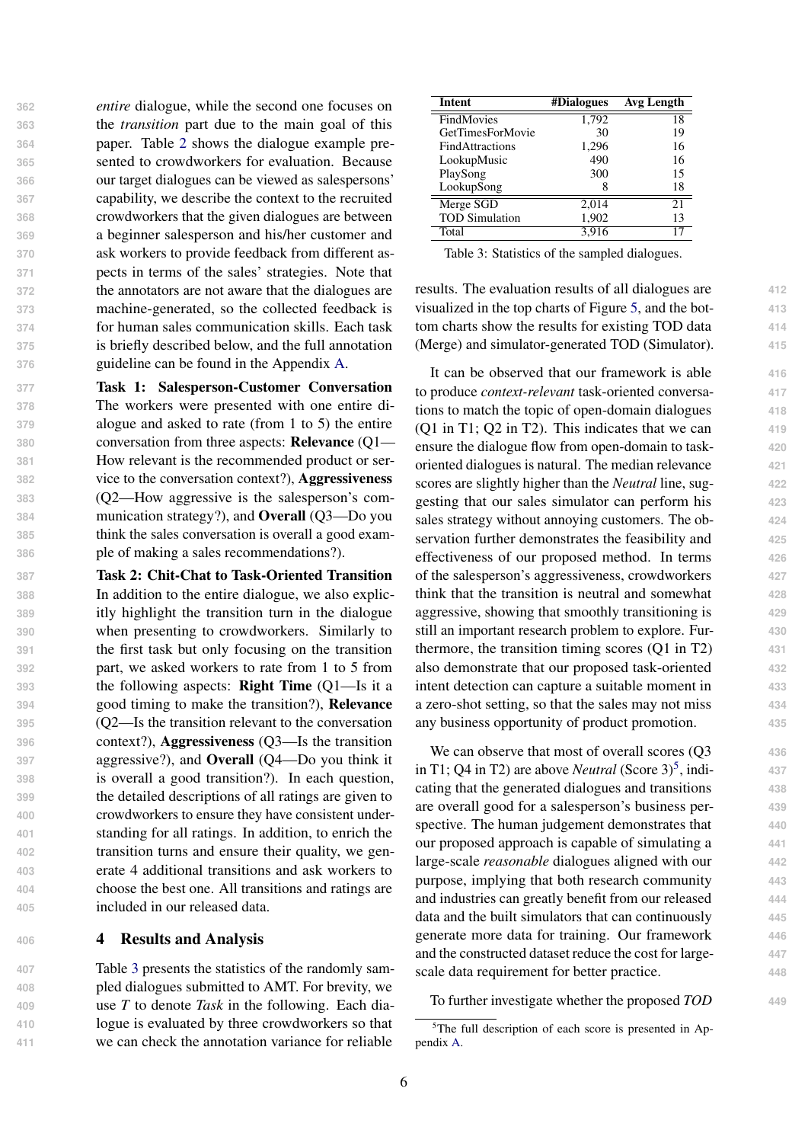*entire* dialogue, while the second one focuses on the *transition* part due to the main goal of this paper. Table [2](#page-4-2) shows the dialogue example pre- sented to crowdworkers for evaluation. Because our target dialogues can be viewed as salespersons' capability, we describe the context to the recruited crowdworkers that the given dialogues are between a beginner salesperson and his/her customer and ask workers to provide feedback from different as- pects in terms of the sales' strategies. Note that the annotators are not aware that the dialogues are machine-generated, so the collected feedback is for human sales communication skills. Each task is briefly described below, and the full annotation guideline can be found in the Appendix [A.](#page-9-6)

 Task 1: Salesperson-Customer Conversation The workers were presented with one entire di- alogue and asked to rate (from 1 to 5) the entire conversation from three aspects: Relevance (Q1— How relevant is the recommended product or ser- vice to the conversation context?), Aggressiveness (Q2—How aggressive is the salesperson's com- munication strategy?), and Overall (Q3—Do you think the sales conversation is overall a good exam-ple of making a sales recommendations?).

 Task 2: Chit-Chat to Task-Oriented Transition In addition to the entire dialogue, we also explic- itly highlight the transition turn in the dialogue when presenting to crowdworkers. Similarly to the first task but only focusing on the transition part, we asked workers to rate from 1 to 5 from the following aspects: Right Time (Q1—Is it a good timing to make the transition?), Relevance (Q2—Is the transition relevant to the conversation context?), Aggressiveness (Q3—Is the transition aggressive?), and Overall (Q4—Do you think it is overall a good transition?). In each question, the detailed descriptions of all ratings are given to crowdworkers to ensure they have consistent under- standing for all ratings. In addition, to enrich the transition turns and ensure their quality, we gen- erate 4 additional transitions and ask workers to choose the best one. All transitions and ratings are included in our released data.

## **<sup>406</sup>** 4 Results and Analysis

 Table [3](#page-5-0) presents the statistics of the randomly sam- pled dialogues submitted to AMT. For brevity, we use *T* to denote *Task* in the following. Each dia- logue is evaluated by three crowdworkers so that we can check the annotation variance for reliable

<span id="page-5-0"></span>

| Intent                 | #Dialogues | Avg Length |
|------------------------|------------|------------|
| FindMovies             | 1,792      | 18         |
| GetTimesForMovie       | 30         | 19         |
| <b>FindAttractions</b> | 1,296      | 16         |
| LookupMusic            | 490        | 16         |
| PlaySong               | 300        | 15         |
| LookupSong             |            | 18         |
| Merge SGD              | 2,014      | 21         |
| <b>TOD Simulation</b>  | 1,902      | 13         |
| Total                  | 3.916      | 17         |

Table 3: Statistics of the sampled dialogues.

results. The evaluation results of all dialogues are **412** visualized in the top charts of Figure [5,](#page-6-0) and the bot- **413** tom charts show the results for existing TOD data **414** (Merge) and simulator-generated TOD (Simulator). **415**

It can be observed that our framework is able **416** to produce *context-relevant* task-oriented conversa- **417** tions to match the topic of open-domain dialogues **418** (Q1 in T1; Q2 in T2). This indicates that we can **419** ensure the dialogue flow from open-domain to task- **420** oriented dialogues is natural. The median relevance **421** scores are slightly higher than the *Neutral* line, sug- **422** gesting that our sales simulator can perform his **423** sales strategy without annoying customers. The ob-  $424$ servation further demonstrates the feasibility and **425** effectiveness of our proposed method. In terms **426** of the salesperson's aggressiveness, crowdworkers **427** think that the transition is neutral and somewhat **428** aggressive, showing that smoothly transitioning is **429** still an important research problem to explore. Fur- **430** thermore, the transition timing scores (Q1 in T2) **431** also demonstrate that our proposed task-oriented **432** intent detection can capture a suitable moment in **433** a zero-shot setting, so that the sales may not miss **434** any business opportunity of product promotion. **435**

We can observe that most of overall scores (Q3 436 in T1; Q4 in T2) are above *Neutral* (Score  $3^5$  $3^5$ , indi-  $437$ cating that the generated dialogues and transitions **438** are overall good for a salesperson's business per- **439** spective. The human judgement demonstrates that **440** our proposed approach is capable of simulating a **441** large-scale *reasonable* dialogues aligned with our **442** purpose, implying that both research community **443** and industries can greatly benefit from our released **444** data and the built simulators that can continuously **445** generate more data for training. Our framework **446** and the constructed dataset reduce the cost for large- **447** scale data requirement for better practice. **448**

To further investigate whether the proposed *TOD* **449**

<span id="page-5-1"></span><sup>&</sup>lt;sup>5</sup>The full description of each score is presented in Appendix [A.](#page-9-6)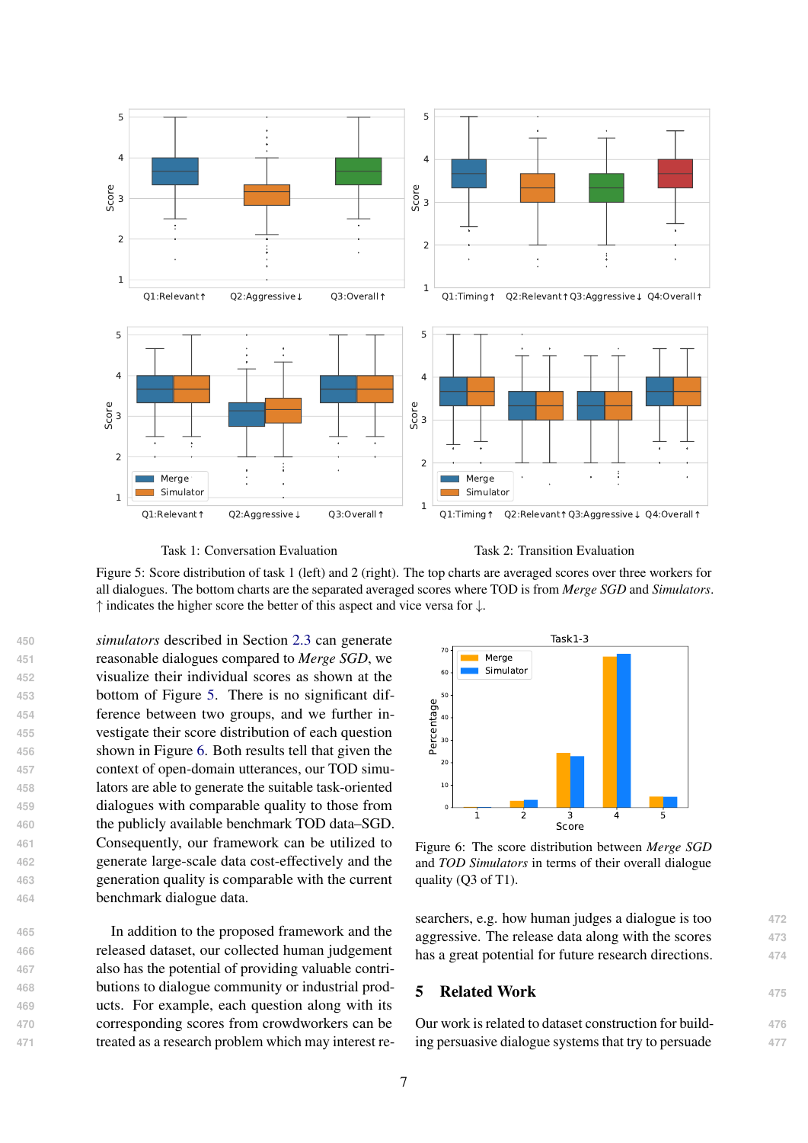<span id="page-6-0"></span>



Task 2: Transition Evaluation

Figure 5: Score distribution of task 1 (left) and 2 (right). The top charts are averaged scores over three workers for all dialogues. The bottom charts are the separated averaged scores where TOD is from *Merge SGD* and *Simulators*. ↑ indicates the higher score the better of this aspect and vice versa for ↓.

 *simulators* described in Section [2.3](#page-3-2) can generate reasonable dialogues compared to *Merge SGD*, we visualize their individual scores as shown at the bottom of Figure [5.](#page-6-0) There is no significant dif- ference between two groups, and we further in- vestigate their score distribution of each question shown in Figure [6.](#page-6-1) Both results tell that given the context of open-domain utterances, our TOD simu- lators are able to generate the suitable task-oriented dialogues with comparable quality to those from the publicly available benchmark TOD data–SGD. Consequently, our framework can be utilized to generate large-scale data cost-effectively and the generation quality is comparable with the current benchmark dialogue data.

 In addition to the proposed framework and the released dataset, our collected human judgement also has the potential of providing valuable contri- butions to dialogue community or industrial prod- ucts. For example, each question along with its corresponding scores from crowdworkers can be treated as a research problem which may interest re-

<span id="page-6-1"></span>

Figure 6: The score distribution between *Merge SGD* and *TOD Simulators* in terms of their overall dialogue quality (Q3 of T1).

searchers, e.g. how human judges a dialogue is too **472** aggressive. The release data along with the scores **473** has a great potential for future research directions. **474**

## 5 Related Work **<sup>475</sup>**

Our work is related to dataset construction for build- **476** ing persuasive dialogue systems that try to persuade **477**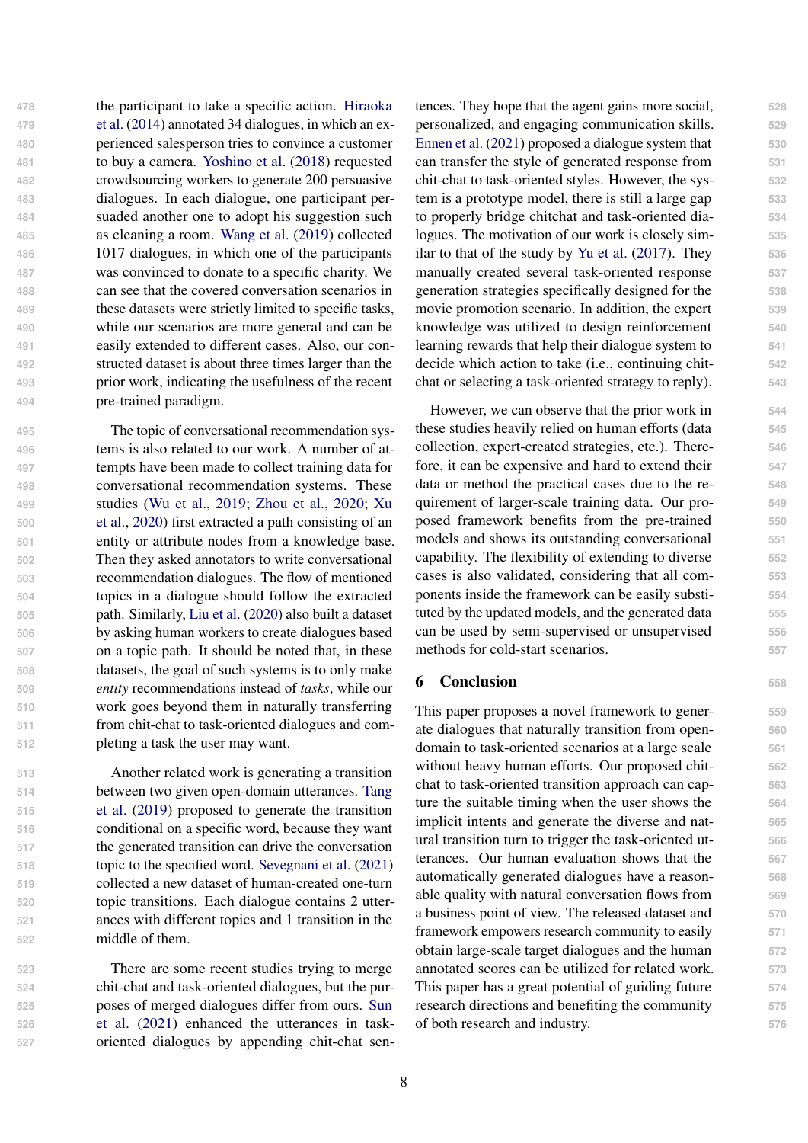[t](#page-8-18)he participant to take a specific action. [Hiraoka](#page-8-18) [et al.](#page-8-18) [\(2014\)](#page-8-18) annotated 34 dialogues, in which an ex- perienced salesperson tries to convince a customer to buy a camera. [Yoshino et al.](#page-9-7) [\(2018\)](#page-9-7) requested crowdsourcing workers to generate 200 persuasive dialogues. In each dialogue, one participant per- suaded another one to adopt his suggestion such as cleaning a room. [Wang et al.](#page-9-8) [\(2019\)](#page-9-8) collected 1017 dialogues, in which one of the participants was convinced to donate to a specific charity. We can see that the covered conversation scenarios in these datasets were strictly limited to specific tasks, while our scenarios are more general and can be easily extended to different cases. Also, our con- structed dataset is about three times larger than the prior work, indicating the usefulness of the recent pre-trained paradigm.

 The topic of conversational recommendation sys- tems is also related to our work. A number of at- tempts have been made to collect training data for conversational recommendation systems. These [s](#page-9-11)tudies [\(Wu et al.,](#page-9-9) [2019;](#page-9-9) [Zhou et al.,](#page-9-10) [2020;](#page-9-10) [Xu](#page-9-11) [et al.,](#page-9-11) [2020\)](#page-9-11) first extracted a path consisting of an entity or attribute nodes from a knowledge base. Then they asked annotators to write conversational recommendation dialogues. The flow of mentioned topics in a dialogue should follow the extracted path. Similarly, [Liu et al.](#page-8-19) [\(2020\)](#page-8-19) also built a dataset by asking human workers to create dialogues based on a topic path. It should be noted that, in these datasets, the goal of such systems is to only make *entity* recommendations instead of *tasks*, while our work goes beyond them in naturally transferring from chit-chat to task-oriented dialogues and com-pleting a task the user may want.

 Another related work is generating a transition [b](#page-9-12)etween two given open-domain utterances. [Tang](#page-9-12) [et al.](#page-9-12) [\(2019\)](#page-9-12) proposed to generate the transition conditional on a specific word, because they want the generated transition can drive the conversation topic to the specified word. [Sevegnani et al.](#page-8-12) [\(2021\)](#page-8-12) collected a new dataset of human-created one-turn topic transitions. Each dialogue contains 2 utter- ances with different topics and 1 transition in the middle of them.

 There are some recent studies trying to merge chit-chat and task-oriented dialogues, but the pur- [p](#page-9-2)oses of merged dialogues differ from ours. [Sun](#page-9-2) [et al.](#page-9-2) [\(2021\)](#page-9-2) enhanced the utterances in task-oriented dialogues by appending chit-chat sentences. They hope that the agent gains more social, **528** personalized, and engaging communication skills. **529** [Ennen et al.](#page-8-11) [\(2021\)](#page-8-11) proposed a dialogue system that **530** can transfer the style of generated response from **531** chit-chat to task-oriented styles. However, the sys- **532** tem is a prototype model, there is still a large gap **533** to properly bridge chitchat and task-oriented dia- **534** logues. The motivation of our work is closely sim- **535** ilar to that of the study by [Yu et al.](#page-9-3) [\(2017\)](#page-9-3). They **536** manually created several task-oriented response **537** generation strategies specifically designed for the **538** movie promotion scenario. In addition, the expert **539** knowledge was utilized to design reinforcement **540** learning rewards that help their dialogue system to **541** decide which action to take (i.e., continuing chit- **542** chat or selecting a task-oriented strategy to reply). **543**

However, we can observe that the prior work in **544** these studies heavily relied on human efforts (data **545** collection, expert-created strategies, etc.). There- **546** fore, it can be expensive and hard to extend their **547** data or method the practical cases due to the re- **548** quirement of larger-scale training data. Our pro- **549** posed framework benefits from the pre-trained **550** models and shows its outstanding conversational **551** capability. The flexibility of extending to diverse **552** cases is also validated, considering that all com- **553** ponents inside the framework can be easily substi- **554** tuted by the updated models, and the generated data **555** can be used by semi-supervised or unsupervised **556** methods for cold-start scenarios. **557** 

## 6 Conclusion **<sup>558</sup>**

This paper proposes a novel framework to gener- **559** ate dialogues that naturally transition from open- **560** domain to task-oriented scenarios at a large scale **561** without heavy human efforts. Our proposed chit- **562** chat to task-oriented transition approach can cap- **563** ture the suitable timing when the user shows the **564** implicit intents and generate the diverse and nat- **565** ural transition turn to trigger the task-oriented ut- **566** terances. Our human evaluation shows that the **567** automatically generated dialogues have a reason- **568** able quality with natural conversation flows from **569** a business point of view. The released dataset and **570** framework empowers research community to easily **571** obtain large-scale target dialogues and the human **572** annotated scores can be utilized for related work. **573** This paper has a great potential of guiding future **574** research directions and benefiting the community **575** of both research and industry. **576**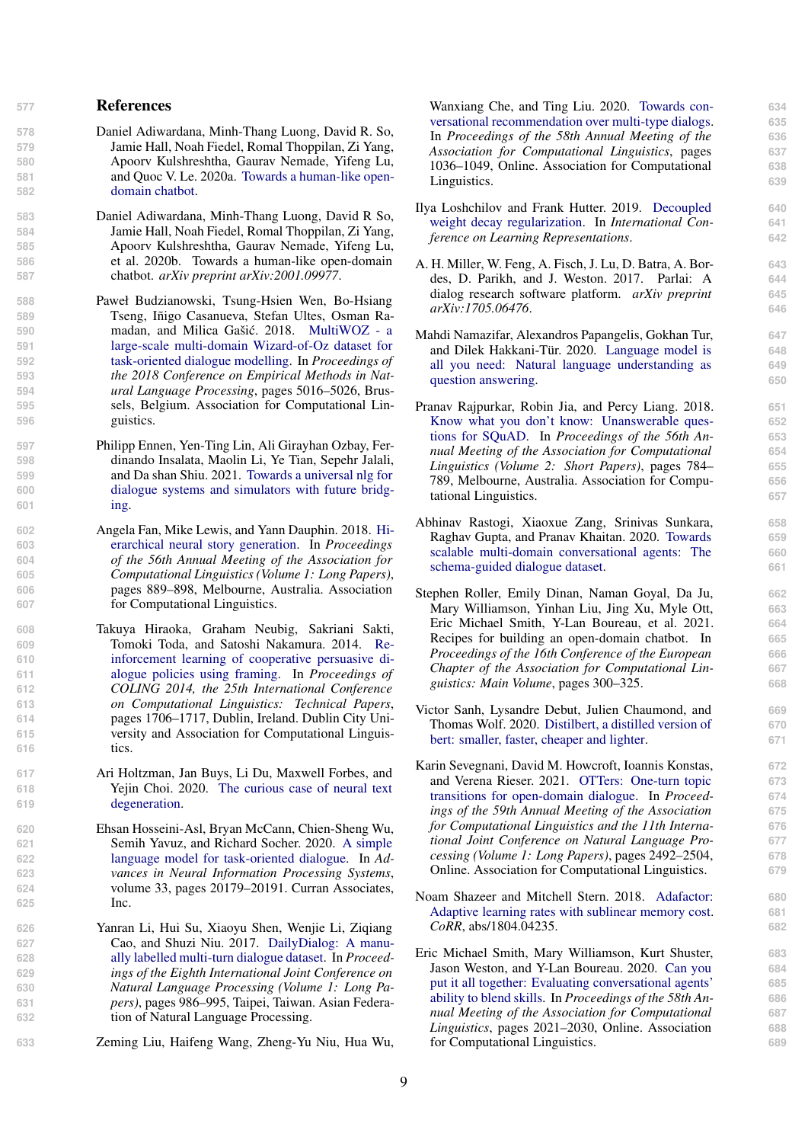## **<sup>577</sup>** References

- <span id="page-8-1"></span>**578** Daniel Adiwardana, Minh-Thang Luong, David R. So, **579** Jamie Hall, Noah Fiedel, Romal Thoppilan, Zi Yang, **580** Apoorv Kulshreshtha, Gaurav Nemade, Yifeng Lu, **581** and Quoc V. Le. 2020a. [Towards a human-like open-](http://arxiv.org/abs/2001.09977)**582** [domain chatbot.](http://arxiv.org/abs/2001.09977)
- <span id="page-8-2"></span>**583** Daniel Adiwardana, Minh-Thang Luong, David R So, **584** Jamie Hall, Noah Fiedel, Romal Thoppilan, Zi Yang, **585** Apoorv Kulshreshtha, Gaurav Nemade, Yifeng Lu, **586** et al. 2020b. Towards a human-like open-domain **587** chatbot. *arXiv preprint arXiv:2001.09977*.
- <span id="page-8-4"></span>**588** Paweł Budzianowski, Tsung-Hsien Wen, Bo-Hsiang **589** Tseng, Iñigo Casanueva, Stefan Ultes, Osman Ra-590 madan, and Milica Gašić. 2018. [MultiWOZ - a](https://doi.org/10.18653/v1/D18-1547) **591** [large-scale multi-domain Wizard-of-Oz dataset for](https://doi.org/10.18653/v1/D18-1547) **592** [task-oriented dialogue modelling.](https://doi.org/10.18653/v1/D18-1547) In *Proceedings of* **593** *the 2018 Conference on Empirical Methods in Nat-***594** *ural Language Processing*, pages 5016–5026, Brus-**595** sels, Belgium. Association for Computational Lin-**596** guistics.
- <span id="page-8-11"></span>**597** Philipp Ennen, Yen-Ting Lin, Ali Girayhan Ozbay, Fer-**598** dinando Insalata, Maolin Li, Ye Tian, Sepehr Jalali, **599** and Da shan Shiu. 2021. [Towards a universal nlg for](http://arxiv.org/abs/2105.10267) **600** [dialogue systems and simulators with future bridg-](http://arxiv.org/abs/2105.10267)**601** [ing.](http://arxiv.org/abs/2105.10267)
- <span id="page-8-17"></span>**602** [A](https://doi.org/10.18653/v1/P18-1082)ngela Fan, Mike Lewis, and Yann Dauphin. 2018. [Hi-](https://doi.org/10.18653/v1/P18-1082)**603** [erarchical neural story generation.](https://doi.org/10.18653/v1/P18-1082) In *Proceedings* **604** *of the 56th Annual Meeting of the Association for* **605** *Computational Linguistics (Volume 1: Long Papers)*, **606** pages 889–898, Melbourne, Australia. Association **607** for Computational Linguistics.
- <span id="page-8-18"></span>**608** Takuya Hiraoka, Graham Neubig, Sakriani Sakti, Tomoki Toda, and Satoshi Nakamura. 2014. [Re-](https://aclanthology.org/C14-1161)**610** [inforcement learning of cooperative persuasive di-](https://aclanthology.org/C14-1161)**611** [alogue policies using framing.](https://aclanthology.org/C14-1161) In *Proceedings of* **612** *COLING 2014, the 25th International Conference* **613** *on Computational Linguistics: Technical Papers*, **614** pages 1706–1717, Dublin, Ireland. Dublin City Uni-**615** versity and Association for Computational Linguis-**616** tics.
- <span id="page-8-16"></span>**617** Ari Holtzman, Jan Buys, Li Du, Maxwell Forbes, and **618** Yejin Choi. 2020. [The curious case of neural text](http://arxiv.org/abs/1904.09751) **619** [degeneration.](http://arxiv.org/abs/1904.09751)
- <span id="page-8-5"></span>**620** Ehsan Hosseini-Asl, Bryan McCann, Chien-Sheng Wu, **621** Semih Yavuz, and Richard Socher. 2020. [A simple](https://proceedings.neurips.cc/paper/2020/file/e946209592563be0f01c844ab2170f0c-Paper.pdf) **622** [language model for task-oriented dialogue.](https://proceedings.neurips.cc/paper/2020/file/e946209592563be0f01c844ab2170f0c-Paper.pdf) In *Ad-***623** *vances in Neural Information Processing Systems*, **624** volume 33, pages 20179–20191. Curran Associates, **625** Inc.
- <span id="page-8-0"></span>**626** Yanran Li, Hui Su, Xiaoyu Shen, Wenjie Li, Ziqiang **627** Cao, and Shuzi Niu. 2017. [DailyDialog: A manu-](https://aclanthology.org/I17-1099)**628** [ally labelled multi-turn dialogue dataset.](https://aclanthology.org/I17-1099) In *Proceed-***629** *ings of the Eighth International Joint Conference on* **630** *Natural Language Processing (Volume 1: Long Pa-***631** *pers)*, pages 986–995, Taipei, Taiwan. Asian Federa-**632** tion of Natural Language Processing.
- <span id="page-8-19"></span>**633** Zeming Liu, Haifeng Wang, Zheng-Yu Niu, Hua Wu,

Wanxiang Che, and Ting Liu. 2020. [Towards con-](https://doi.org/10.18653/v1/2020.acl-main.98) **634** [versational recommendation over multi-type dialogs.](https://doi.org/10.18653/v1/2020.acl-main.98) **635** In *Proceedings of the 58th Annual Meeting of the* **636** *Association for Computational Linguistics*, pages **637** 1036–1049, Online. Association for Computational **638** Linguistics. 639

- <span id="page-8-14"></span>[I](https://openreview.net/forum?id=Bkg6RiCqY7)lya Loshchilov and Frank Hutter. 2019. [Decoupled](https://openreview.net/forum?id=Bkg6RiCqY7) **640** [weight decay regularization.](https://openreview.net/forum?id=Bkg6RiCqY7) In *International Con-* **641** *ference on Learning Representations*. **642**
- <span id="page-8-8"></span>A. H. Miller, W. Feng, A. Fisch, J. Lu, D. Batra, A. Bor- **643** des, D. Parikh, and J. Weston. 2017. Parlai: A **644** dialog research software platform. *arXiv preprint* **645** *arXiv:1705.06476*. **646**
- <span id="page-8-9"></span>Mahdi Namazifar, Alexandros Papangelis, Gokhan Tur, **647** and Dilek Hakkani-Tür. 2020. [Language model is](http://arxiv.org/abs/2011.03023) **648** [all you need: Natural language understanding as](http://arxiv.org/abs/2011.03023) **649** [question answering.](http://arxiv.org/abs/2011.03023) 650
- <span id="page-8-10"></span>Pranav Rajpurkar, Robin Jia, and Percy Liang. 2018. **651** [Know what you don't know: Unanswerable ques-](https://doi.org/10.18653/v1/P18-2124) **652** [tions for SQuAD.](https://doi.org/10.18653/v1/P18-2124) In *Proceedings of the 56th An-* **653** *nual Meeting of the Association for Computational* **654** *Linguistics (Volume 2: Short Papers)*, pages 784– **655** 789, Melbourne, Australia. Association for Compu- **656** tational Linguistics. **657**
- <span id="page-8-6"></span>Abhinav Rastogi, Xiaoxue Zang, Srinivas Sunkara, **658** Raghav Gupta, and Pranav Khaitan. 2020. [Towards](http://arxiv.org/abs/1909.05855) **659** [scalable multi-domain conversational agents: The](http://arxiv.org/abs/1909.05855) 660 [schema-guided dialogue dataset.](http://arxiv.org/abs/1909.05855) 661
- <span id="page-8-3"></span>Stephen Roller, Emily Dinan, Naman Goyal, Da Ju, **662** Mary Williamson, Yinhan Liu, Jing Xu, Myle Ott, **663** Eric Michael Smith, Y-Lan Boureau, et al. 2021. **664** Recipes for building an open-domain chatbot. In **665** *Proceedings of the 16th Conference of the European* **666** *Chapter of the Association for Computational Lin-* **667** *guistics: Main Volume*, pages 300–325. **668**
- <span id="page-8-13"></span>Victor Sanh, Lysandre Debut, Julien Chaumond, and **669** Thomas Wolf. 2020. [Distilbert, a distilled version of](http://arxiv.org/abs/1910.01108) **670** [bert: smaller, faster, cheaper and lighter.](http://arxiv.org/abs/1910.01108) **671**
- <span id="page-8-12"></span>Karin Sevegnani, David M. Howcroft, Ioannis Konstas, **672** and Verena Rieser. 2021. [OTTers: One-turn topic](https://doi.org/10.18653/v1/2021.acl-long.194) **673** [transitions for open-domain dialogue.](https://doi.org/10.18653/v1/2021.acl-long.194) In *Proceed-* **674** *ings of the 59th Annual Meeting of the Association* **675** *for Computational Linguistics and the 11th Interna-* **676** *tional Joint Conference on Natural Language Pro-* **677** *cessing (Volume 1: Long Papers)*, pages 2492–2504, **678** Online. Association for Computational Linguistics. **679**
- <span id="page-8-15"></span>[N](http://arxiv.org/abs/1804.04235)oam Shazeer and Mitchell Stern. 2018. [Adafactor:](http://arxiv.org/abs/1804.04235) **680** [Adaptive learning rates with sublinear memory cost.](http://arxiv.org/abs/1804.04235) **681** *CoRR*, abs/1804.04235. **682**
- <span id="page-8-7"></span>Eric Michael Smith, Mary Williamson, Kurt Shuster, **683** Jason Weston, and Y-Lan Boureau. 2020. [Can you](https://doi.org/10.18653/v1/2020.acl-main.183) **684** [put it all together: Evaluating conversational agents'](https://doi.org/10.18653/v1/2020.acl-main.183) **685** [ability to blend skills.](https://doi.org/10.18653/v1/2020.acl-main.183) In *Proceedings of the 58th An-* **686** *nual Meeting of the Association for Computational* **687** *Linguistics*, pages 2021–2030, Online. Association **688** for Computational Linguistics. **689**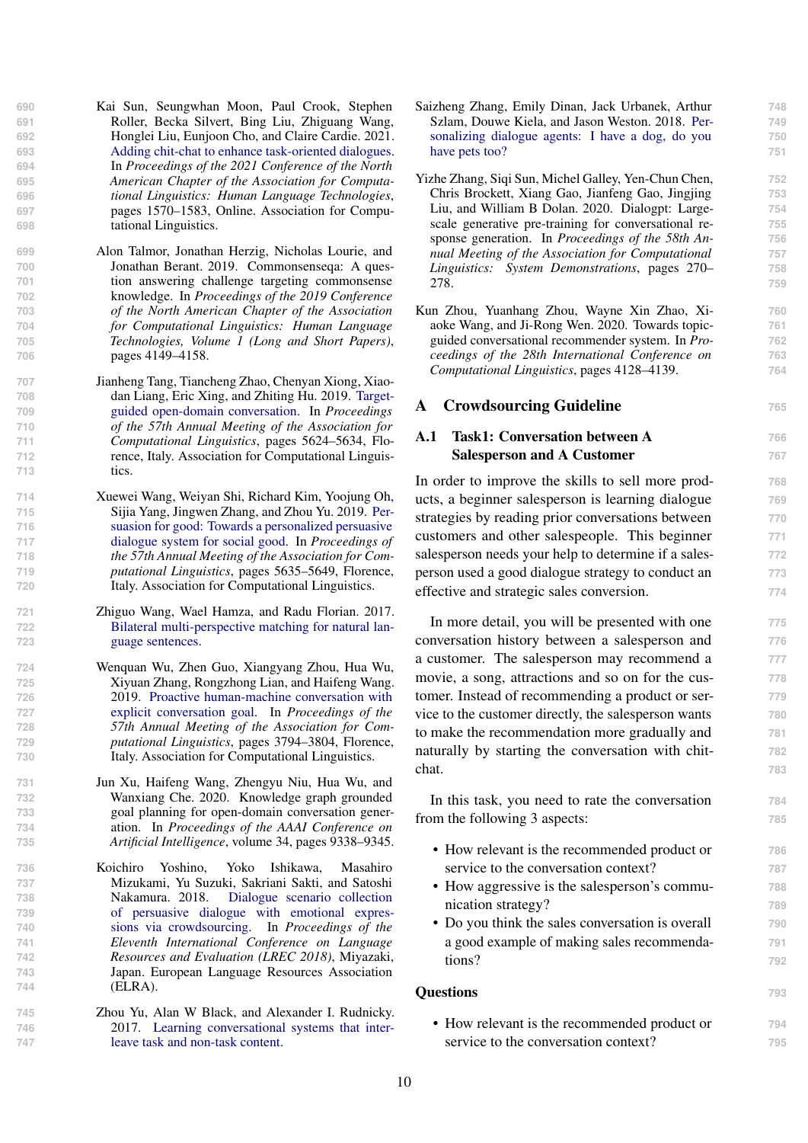- 
- 
- 
- 
- 
- 
- 
- 
- <span id="page-9-2"></span>**690** Kai Sun, Seungwhan Moon, Paul Crook, Stephen **691** Roller, Becka Silvert, Bing Liu, Zhiguang Wang, **692** Honglei Liu, Eunjoon Cho, and Claire Cardie. 2021. **693** [Adding chit-chat to enhance task-oriented dialogues.](https://doi.org/10.18653/v1/2021.naacl-main.124) **694** In *Proceedings of the 2021 Conference of the North* **695** *American Chapter of the Association for Computa-***696** *tional Linguistics: Human Language Technologies*, **697** pages 1570–1583, Online. Association for Compu-**698** tational Linguistics.
- <span id="page-9-5"></span>**699** Alon Talmor, Jonathan Herzig, Nicholas Lourie, and **700** Jonathan Berant. 2019. Commonsenseqa: A ques-**701** tion answering challenge targeting commonsense **702** knowledge. In *Proceedings of the 2019 Conference* **703** *of the North American Chapter of the Association* **704** *for Computational Linguistics: Human Language* **705** *Technologies, Volume 1 (Long and Short Papers)*, **706** pages 4149–4158.
- <span id="page-9-12"></span>**707** Jianheng Tang, Tiancheng Zhao, Chenyan Xiong, Xiao-**708** dan Liang, Eric Xing, and Zhiting Hu. 2019. [Target-](https://doi.org/10.18653/v1/P19-1565)**709** [guided open-domain conversation.](https://doi.org/10.18653/v1/P19-1565) In *Proceedings* **710** *of the 57th Annual Meeting of the Association for* **711** *Computational Linguistics*, pages 5624–5634, Flo-**712** rence, Italy. Association for Computational Linguis-**713** tics.
- <span id="page-9-8"></span>**714** Xuewei Wang, Weiyan Shi, Richard Kim, Yoojung Oh, **715** Sijia Yang, Jingwen Zhang, and Zhou Yu. 2019. [Per-](https://doi.org/10.18653/v1/P19-1566)**716** [suasion for good: Towards a personalized persuasive](https://doi.org/10.18653/v1/P19-1566) **717** [dialogue system for social good.](https://doi.org/10.18653/v1/P19-1566) In *Proceedings of* **718** *the 57th Annual Meeting of the Association for Com-***719** *putational Linguistics*, pages 5635–5649, Florence, **720** Italy. Association for Computational Linguistics.
- <span id="page-9-4"></span>**721** Zhiguo Wang, Wael Hamza, and Radu Florian. 2017. **722** [Bilateral multi-perspective matching for natural lan-](http://arxiv.org/abs/1702.03814)**723** [guage sentences.](http://arxiv.org/abs/1702.03814)
- <span id="page-9-9"></span>**724** Wenquan Wu, Zhen Guo, Xiangyang Zhou, Hua Wu, **725** Xiyuan Zhang, Rongzhong Lian, and Haifeng Wang. **726** 2019. [Proactive human-machine conversation with](https://doi.org/10.18653/v1/P19-1369) **727** [explicit conversation goal.](https://doi.org/10.18653/v1/P19-1369) In *Proceedings of the* **728** *57th Annual Meeting of the Association for Com-***729** *putational Linguistics*, pages 3794–3804, Florence, **730** Italy. Association for Computational Linguistics.
- <span id="page-9-11"></span>**731** Jun Xu, Haifeng Wang, Zhengyu Niu, Hua Wu, and **732** Wanxiang Che. 2020. Knowledge graph grounded **733** goal planning for open-domain conversation gener-**734** ation. In *Proceedings of the AAAI Conference on* **735** *Artificial Intelligence*, volume 34, pages 9338–9345.
- <span id="page-9-7"></span>**736** Koichiro Yoshino, Yoko Ishikawa, Masahiro **737** Mizukami, Yu Suzuki, Sakriani Sakti, and Satoshi **738** Nakamura. 2018. [Dialogue scenario collection](https://aclanthology.org/L18-1194) **739** [of persuasive dialogue with emotional expres-](https://aclanthology.org/L18-1194)**740** [sions via crowdsourcing.](https://aclanthology.org/L18-1194) In *Proceedings of the* **741** *Eleventh International Conference on Language* **742** *Resources and Evaluation (LREC 2018)*, Miyazaki, **743** Japan. European Language Resources Association **744** (ELRA).
- <span id="page-9-3"></span>**745** Zhou Yu, Alan W Black, and Alexander I. Rudnicky. **746** 2017. [Learning conversational systems that inter-](http://arxiv.org/abs/1703.00099)**747** [leave task and non-task content.](http://arxiv.org/abs/1703.00099)
- <span id="page-9-0"></span>Saizheng Zhang, Emily Dinan, Jack Urbanek, Arthur **748** Szlam, Douwe Kiela, and Jason Weston. 2018. [Per-](http://arxiv.org/abs/1801.07243) **749** [sonalizing dialogue agents: I have a dog, do you](http://arxiv.org/abs/1801.07243) **750** [have pets too?](http://arxiv.org/abs/1801.07243) **751**
- <span id="page-9-1"></span>Yizhe Zhang, Siqi Sun, Michel Galley, Yen-Chun Chen, **752** Chris Brockett, Xiang Gao, Jianfeng Gao, Jingjing **753** Liu, and William B Dolan. 2020. Dialogpt: Large- **754** scale generative pre-training for conversational re- **755** sponse generation. In *Proceedings of the 58th An-* **756** *nual Meeting of the Association for Computational* **757** *Linguistics: System Demonstrations*, pages 270– **758** 278. **759**
- <span id="page-9-10"></span>Kun Zhou, Yuanhang Zhou, Wayne Xin Zhao, Xi- **760** aoke Wang, and Ji-Rong Wen. 2020. Towards topic- **761** guided conversational recommender system. In *Pro-* **762** *ceedings of the 28th International Conference on* **763** *Computational Linguistics*, pages 4128–4139.

## <span id="page-9-6"></span>A Crowdsourcing Guideline **<sup>765</sup>**

## A.1 Task1: Conversation between A **766** Salesperson and A Customer **767**

In order to improve the skills to sell more prod- **768** ucts, a beginner salesperson is learning dialogue **769** strategies by reading prior conversations between **770** customers and other salespeople. This beginner **771** salesperson needs your help to determine if a sales-  $772$ person used a good dialogue strategy to conduct an **773** effective and strategic sales conversion. **774**

In more detail, you will be presented with one **775** conversation history between a salesperson and **776** a customer. The salesperson may recommend a **777** movie, a song, attractions and so on for the cus- **778** tomer. Instead of recommending a product or ser- **779** vice to the customer directly, the salesperson wants **780** to make the recommendation more gradually and **781** naturally by starting the conversation with chit- **782 chat.** 783

In this task, you need to rate the conversation **784** from the following 3 aspects: **785**

- How relevant is the recommended product or **786** service to the conversation context? **787**
- How aggressive is the salesperson's commu- **788** nication strategy? **789**
- Do you think the sales conversation is overall **790** a good example of making sales recommenda- **791** tions? **792**

## Questions **793**

• How relevant is the recommended product or **794** service to the conversation context? **795**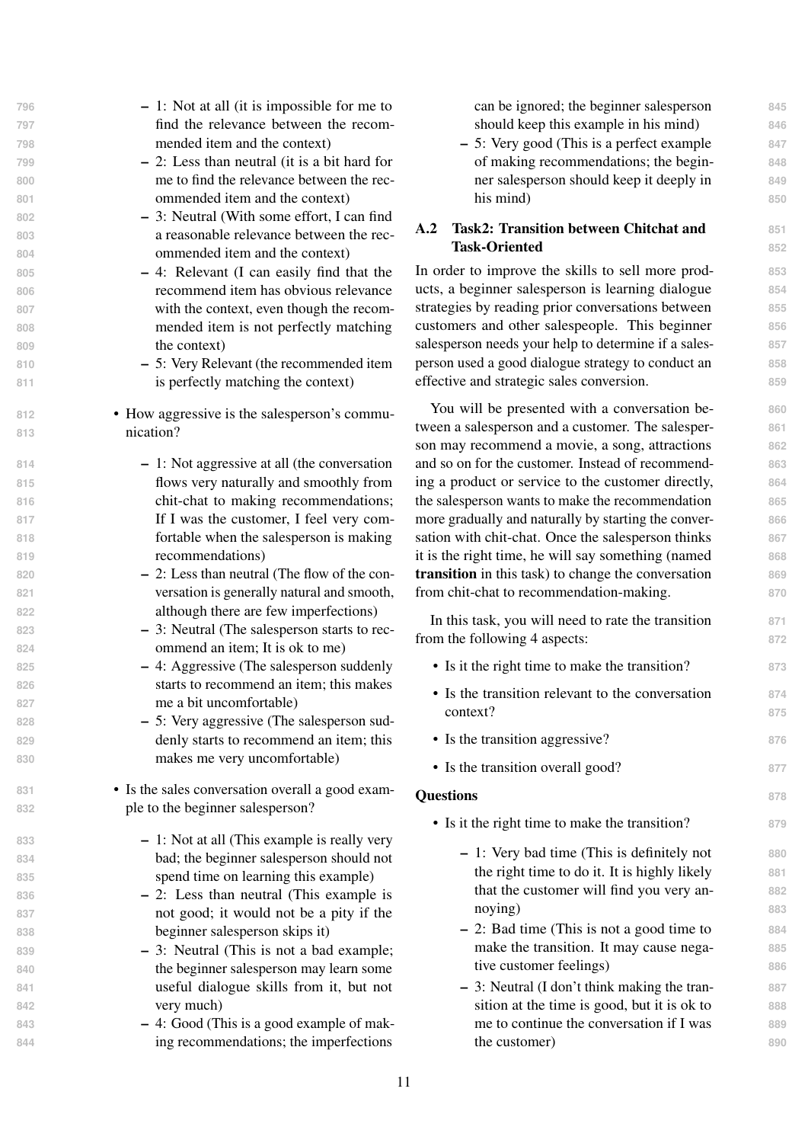| can be ignored; the beginner salesperson             | 845 |
|------------------------------------------------------|-----|
| should keep this example in his mind)                | 846 |
| - 5: Very good (This is a perfect example            | 847 |
| of making recommendations; the begin-                | 848 |
| ner salesperson should keep it deeply in             | 849 |
| his mind)                                            | 850 |
| A.2<br><b>Task2: Transition between Chitchat and</b> | 851 |
| <b>Task-Oriented</b>                                 | 852 |
| In order to improve the skills to sell more prod-    | 853 |
| ucts, a beginner salesperson is learning dialogue    | 854 |
| strategies by reading prior conversations between    | 855 |
| customers and other salespeople. This beginner       | 856 |
| salesperson needs your help to determine if a sales- | 857 |
| person used a good dialogue strategy to conduct an   | 858 |
| effective and strategic sales conversion.            | 859 |
| You will be presented with a conversation be-        | 860 |
| tween a salesperson and a customer. The salesper-    | 861 |
| son may recommend a movie, a song, attractions       | 862 |
| and so on for the customer. Instead of recommend-    | 863 |
| ing a product or service to the customer directly,   | 864 |
| the salesperson wants to make the recommendation     | 865 |
| more gradually and naturally by starting the conver- | 866 |
| sation with chit-chat. Once the salesperson thinks   | 867 |
| it is the right time, he will say something (named   | 868 |
| transition in this task) to change the conversation  | 869 |
| from chit-chat to recommendation-making.             | 870 |
| In this task, you will need to rate the transition   | 871 |
| from the following 4 aspects:                        | 872 |
| • Is it the right time to make the transition?       | 873 |
| • Is the transition relevant to the conversation     | 874 |
| context?                                             | 875 |
| • Is the transition aggressive?                      | 876 |
| • Is the transition overall good?                    | 877 |
|                                                      |     |
| <b>Questions</b>                                     | 878 |
| • Is it the right time to make the transition?       | 879 |
| - 1: Very bad time (This is definitely not           | 880 |
| the right time to do it. It is highly likely         | 881 |
| that the customer will find you very an-             | 882 |
| noying)                                              | 883 |
| $-2$ : Bad time (This is not a good time to          | 884 |
| make the transition. It may cause nega-              | 885 |
| tive customer feelings)                              | 886 |
| - 3: Neutral (I don't think making the tran-         | 887 |
| sition at the time is good, but it is ok to          | 888 |
| me to continue the conversation if I was             | 889 |
| the customer)                                        | 890 |
|                                                      |     |

| 796 | $-1$ : Not at all (it is impossible for me to    | can be ignored; the beginner salespe                                                        |
|-----|--------------------------------------------------|---------------------------------------------------------------------------------------------|
| 797 | find the relevance between the recom-            | should keep this example in his min                                                         |
| 798 | mended item and the context)                     | - 5: Very good (This is a perfect exam-                                                     |
| 799 | $-2$ : Less than neutral (it is a bit hard for   | of making recommendations; the b                                                            |
| 800 | me to find the relevance between the rec-        | ner salesperson should keep it deep                                                         |
| 801 | ommended item and the context)                   | his mind)                                                                                   |
| 802 | - 3: Neutral (With some effort, I can find       | <b>Task2: Transition between Chitchat a</b><br>A.2                                          |
| 803 | a reasonable relevance between the rec-          | <b>Task-Oriented</b>                                                                        |
| 804 | ommended item and the context)                   |                                                                                             |
| 805 | - 4: Relevant (I can easily find that the        | In order to improve the skills to sell more p                                               |
| 806 | recommend item has obvious relevance             | ucts, a beginner salesperson is learning diale                                              |
| 807 | with the context, even though the recom-         | strategies by reading prior conversations bety                                              |
| 808 | mended item is not perfectly matching            | customers and other salespeople. This begi                                                  |
| 809 | the context)                                     | salesperson needs your help to determine if a s                                             |
| 810 | - 5: Very Relevant (the recommended item         | person used a good dialogue strategy to condu-                                              |
| 811 | is perfectly matching the context)               | effective and strategic sales conversion.                                                   |
| 812 | • How aggressive is the salesperson's commu-     | You will be presented with a conversation                                                   |
| 813 | nication?                                        | tween a salesperson and a customer. The sale                                                |
| 814 | $-1$ : Not aggressive at all (the conversation   | son may recommend a movie, a song, attract<br>and so on for the customer. Instead of recomm |
| 815 | flows very naturally and smoothly from           | ing a product or service to the customer dire                                               |
| 816 | chit-chat to making recommendations;             | the salesperson wants to make the recommenda                                                |
| 817 | If I was the customer, I feel very com-          | more gradually and naturally by starting the co                                             |
| 818 | fortable when the salesperson is making          | sation with chit-chat. Once the salesperson th                                              |
| 819 | recommendations)                                 | it is the right time, he will say something (na                                             |
| 820 | - 2: Less than neutral (The flow of the con-     | transition in this task) to change the conversa                                             |
| 821 | versation is generally natural and smooth,       | from chit-chat to recommendation-making.                                                    |
| 822 | although there are few imperfections)            |                                                                                             |
| 823 | - 3: Neutral (The salesperson starts to rec-     | In this task, you will need to rate the trans                                               |
| 824 | ommend an item; It is ok to me)                  | from the following 4 aspects:                                                               |
| 825 | - 4: Aggressive (The salesperson suddenly        | • Is it the right time to make the transition                                               |
| 826 | starts to recommend an item; this makes          | • Is the transition relevant to the conversa                                                |
| 827 | me a bit uncomfortable)                          | context?                                                                                    |
| 828 | - 5: Very aggressive (The salesperson sud-       |                                                                                             |
| 829 | denly starts to recommend an item; this          | • Is the transition aggressive?                                                             |
| 830 | makes me very uncomfortable)                     | • Is the transition overall good?                                                           |
| 831 | • Is the sales conversation overall a good exam- | <b>Questions</b>                                                                            |
| 832 | ple to the beginner salesperson?                 | • Is it the right time to make the transition                                               |
| 833 | - 1: Not at all (This example is really very     |                                                                                             |
| 834 | bad; the beginner salesperson should not         | - 1: Very bad time (This is definitely                                                      |
| 835 | spend time on learning this example)             | the right time to do it. It is highly li                                                    |
| 836 | $-2$ : Less than neutral (This example is        | that the customer will find you ver                                                         |
| 837 | not good; it would not be a pity if the          | noying)                                                                                     |
| 838 | beginner salesperson skips it)                   | - 2: Bad time (This is not a good tin                                                       |
| 839 | - 3: Neutral (This is not a bad example;         | make the transition. It may cause r                                                         |
| 840 | the beginner salesperson may learn some          | tive customer feelings)                                                                     |
| 841 | useful dialogue skills from it, but not          | $-$ 3: Neutral (I don't think making the                                                    |
| 842 | very much)                                       | sition at the time is good, but it is a                                                     |
| 843 | - 4: Good (This is a good example of mak-        | me to continue the conversation if I                                                        |
| 844 | ing recommendations; the imperfections           | the customer)                                                                               |
|     |                                                  |                                                                                             |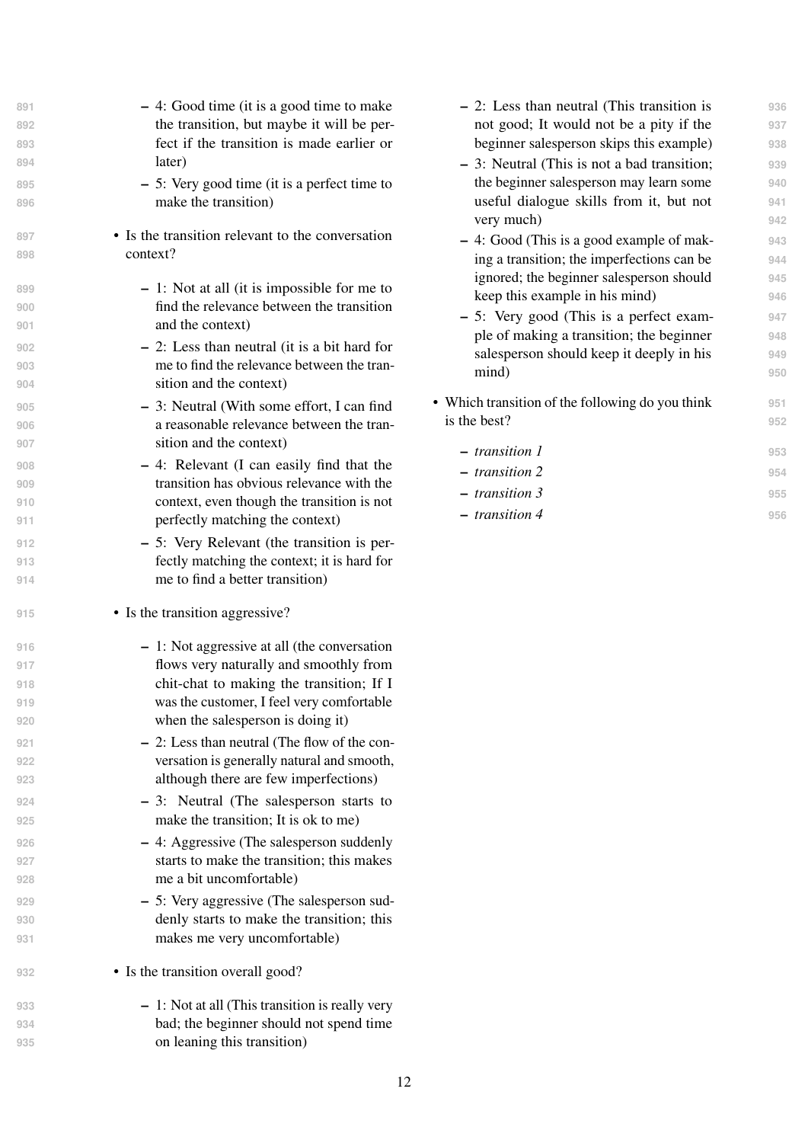| 891 | - 4: Good time (it is a good time to make        |
|-----|--------------------------------------------------|
| 892 | the transition, but maybe it will be per-        |
| 893 | fect if the transition is made earlier or        |
| 894 | later)                                           |
| 895 | $-5$ : Very good time (it is a perfect time to   |
| 896 | make the transition)                             |
| 897 | • Is the transition relevant to the conversation |
| 898 | context?                                         |
| 899 | $-1$ : Not at all (it is impossible for me to    |
| 900 | find the relevance between the transition        |
| 901 | and the context)                                 |
| 902 | - 2: Less than neutral (it is a bit hard for     |
| 903 | me to find the relevance between the tran-       |
| 904 | sition and the context)                          |
| 905 | - 3: Neutral (With some effort, I can find       |
| 906 | a reasonable relevance between the tran-         |
| 907 | sition and the context)                          |
| 908 | $-4$ : Relevant (I can easily find that the      |
| 909 | transition has obvious relevance with the        |
| 910 | context, even though the transition is not       |
| 911 | perfectly matching the context)                  |
| 912 | - 5: Very Relevant (the transition is per-       |
| 913 | fectly matching the context; it is hard for      |
| 914 | me to find a better transition)                  |
| 915 | • Is the transition aggressive?                  |
| 916 | $-1$ : Not aggressive at all (the conversation   |
| 917 | flows very naturally and smoothly from           |
| 918 | chit-chat to making the transition; If I         |
| 919 | was the customer, I feel very comfortable        |
| 920 | when the salesperson is doing it)                |
| 921 | - 2: Less than neutral (The flow of the con-     |
| 922 | versation is generally natural and smooth,       |
| 923 | although there are few imperfections)            |
| 924 | - 3: Neutral (The salesperson starts to          |
| 925 | make the transition; It is ok to me)             |
| 926 | - 4: Aggressive (The salesperson suddenly        |
| 927 | starts to make the transition; this makes        |
| 928 | me a bit uncomfortable)                          |
| 929 | - 5: Very aggressive (The salesperson sud-       |
| 930 | denly starts to make the transition; this        |
| 931 | makes me very uncomfortable)                     |
| 932 | • Is the transition overall good?                |
| 933 | - 1: Not at all (This transition is really very  |
| 934 | bad; the beginner should not spend time          |
| 935 | on leaning this transition)                      |

- 2: Less than neutral (This transition is **936** not good; It would not be a pity if the **937** beginner salesperson skips this example) **938**
- 3: Neutral (This is not a bad transition; **939** the beginner salesperson may learn some **940** useful dialogue skills from it, but not **941** very much) **942**
- 4: Good (This is a good example of mak- **943** ing a transition; the imperfections can be **944** ignored; the beginner salesperson should **945** keep this example in his mind) **946**
- 5: Very good (This is a perfect exam- **947** ple of making a transition; the beginner **948** salesperson should keep it deeply in his **949** mind) **950**
- Which transition of the following do you think **951** is the best? **952**

|  |                | 953 |
|--|----------------|-----|
|  |                |     |
|  | - transition 1 |     |

- $-$  *transition 2* 954 – *transition 3* **955**
- $-$  *transition 4* 956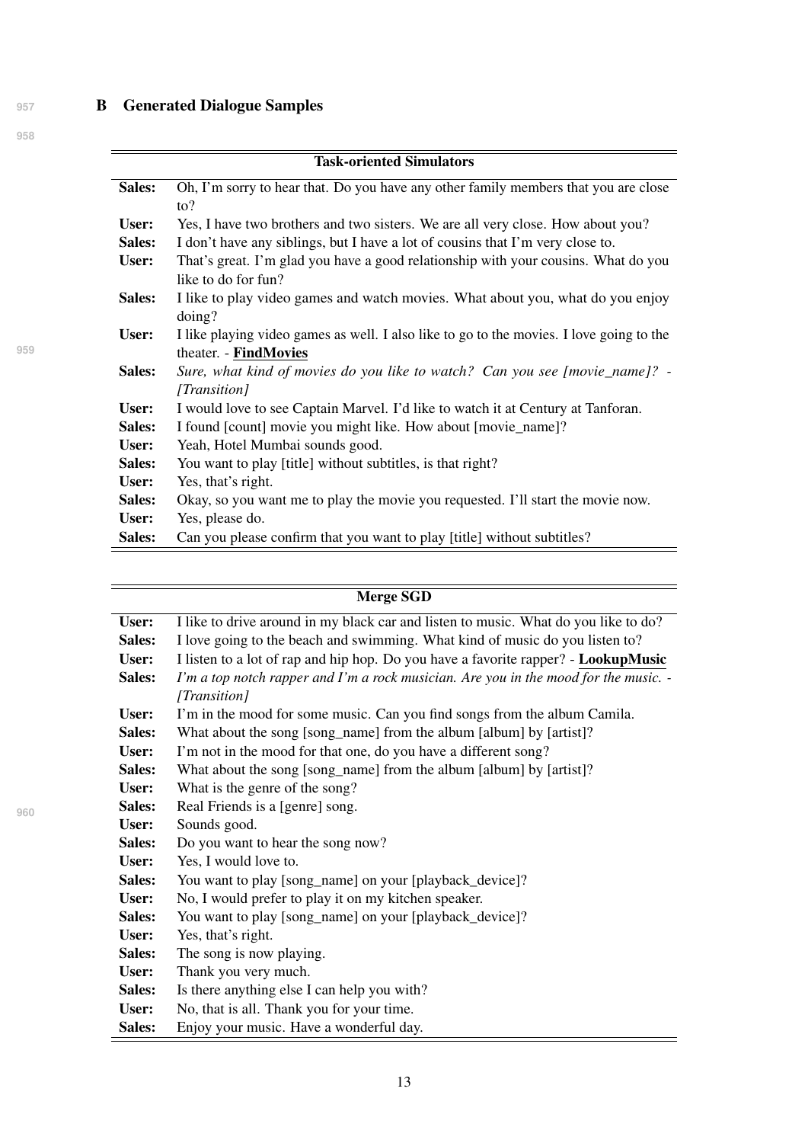# **957 B** Generated Dialogue Samples

**959**

| <b>Task-oriented Simulators</b> |                                                                                                                   |  |
|---------------------------------|-------------------------------------------------------------------------------------------------------------------|--|
| Sales:                          | Oh, I'm sorry to hear that. Do you have any other family members that you are close<br>$\mathrm{to}$ ?            |  |
| User:                           | Yes, I have two brothers and two sisters. We are all very close. How about you?                                   |  |
| Sales:                          | I don't have any siblings, but I have a lot of cousins that I'm very close to.                                    |  |
| User:                           | That's great. I'm glad you have a good relationship with your cousins. What do you<br>like to do for fun?         |  |
| Sales:                          | I like to play video games and watch movies. What about you, what do you enjoy<br>doing?                          |  |
| User:                           | I like playing video games as well. I also like to go to the movies. I love going to the<br>theater. - FindMovies |  |
| Sales:                          | Sure, what kind of movies do you like to watch? Can you see [movie_name]? -<br>[Transition]                       |  |
| User:                           | I would love to see Captain Marvel. I'd like to watch it at Century at Tanforan.                                  |  |
| Sales:                          | I found [count] movie you might like. How about [movie_name]?                                                     |  |
| <b>User:</b>                    | Yeah, Hotel Mumbai sounds good.                                                                                   |  |
| Sales:                          | You want to play [title] without subtitles, is that right?                                                        |  |
| User:                           | Yes, that's right.                                                                                                |  |
| Sales:                          | Okay, so you want me to play the movie you requested. I'll start the movie now.                                   |  |
| User:                           | Yes, please do.                                                                                                   |  |
| Sales:                          | Can you please confirm that you want to play [title] without subtitles?                                           |  |

|               | <b>Merge SGD</b>                                                                                       |
|---------------|--------------------------------------------------------------------------------------------------------|
| User:         | I like to drive around in my black car and listen to music. What do you like to do?                    |
| Sales:        | I love going to the beach and swimming. What kind of music do you listen to?                           |
| User:         | I listen to a lot of rap and hip hop. Do you have a favorite rapper? - LookupMusic                     |
| Sales:        | I'm a top notch rapper and I'm a rock musician. Are you in the mood for the music. $-$<br>[Transition] |
| User:         | I'm in the mood for some music. Can you find songs from the album Camila.                              |
| Sales:        | What about the song [song_name] from the album [album] by [artist]?                                    |
| User:         | I'm not in the mood for that one, do you have a different song?                                        |
| Sales:        | What about the song [song_name] from the album [album] by [artist]?                                    |
| User:         | What is the genre of the song?                                                                         |
| Sales:        | Real Friends is a [genre] song.                                                                        |
| User:         | Sounds good.                                                                                           |
| Sales:        | Do you want to hear the song now?                                                                      |
| User:         | Yes, I would love to.                                                                                  |
| Sales:        | You want to play [song_name] on your [playback_device]?                                                |
| User:         | No, I would prefer to play it on my kitchen speaker.                                                   |
| Sales:        | You want to play [song_name] on your [playback_device]?                                                |
| User:         | Yes, that's right.                                                                                     |
| Sales:        | The song is now playing.                                                                               |
| User:         | Thank you very much.                                                                                   |
| Sales:        | Is there anything else I can help you with?                                                            |
| User:         | No, that is all. Thank you for your time.                                                              |
| <b>Sales:</b> | Enjoy your music. Have a wonderful day.                                                                |

**960**